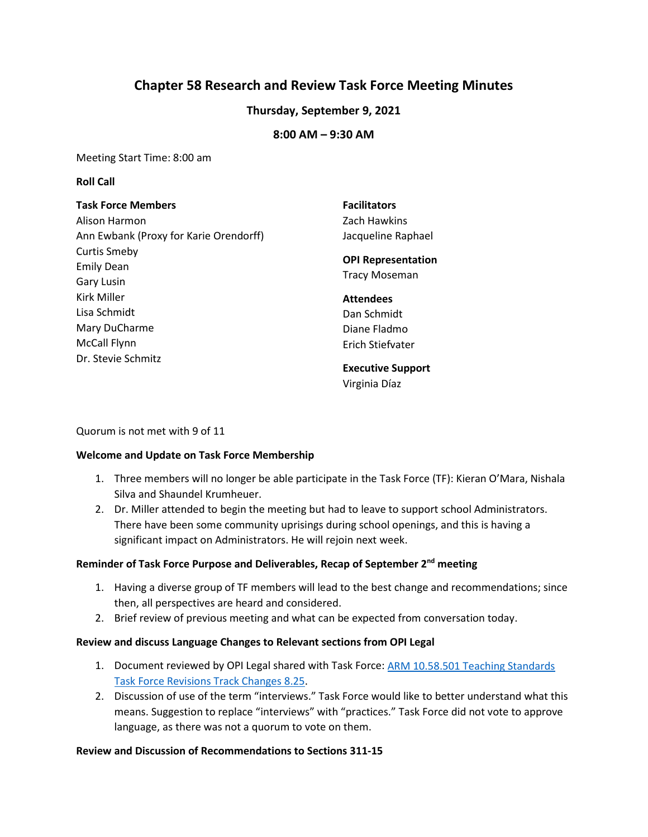# **Chapter 58 Research and Review Task Force Meeting Minutes**

# **Thursday, September 9, 2021**

# **8:00 AM – 9:30 AM**

Meeting Start Time: 8:00 am

#### **Roll Call**

| <b>Task Force Members</b>              | <b>Facilitators</b>       |
|----------------------------------------|---------------------------|
| Alison Harmon                          | Zach Hawkins              |
| Ann Ewbank (Proxy for Karie Orendorff) | Jacqueline Raphael        |
| <b>Curtis Smeby</b>                    |                           |
| <b>Emily Dean</b>                      | <b>OPI Representation</b> |
| Gary Lusin                             | <b>Tracy Moseman</b>      |
| Kirk Miller                            | <b>Attendees</b>          |
| Lisa Schmidt                           | Dan Schmidt               |
| Mary DuCharme                          | Diane Fladmo              |
| <b>McCall Flynn</b>                    | Erich Stiefvater          |
| Dr. Stevie Schmitz                     |                           |
|                                        | <b>Executive Support</b>  |

Virginia Díaz

Quorum is not met with 9 of 11

#### **Welcome and Update on Task Force Membership**

- 1. Three members will no longer be able participate in the Task Force (TF): Kieran O'Mara, Nishala Silva and Shaundel Krumheuer.
- 2. Dr. Miller attended to begin the meeting but had to leave to support school Administrators. There have been some community uprisings during school openings, and this is having a significant impact on Administrators. He will rejoin next week.

#### **Reminder of Task Force Purpose and Deliverables, Recap of September 2nd meeting**

- 1. Having a diverse group of TF members will lead to the best change and recommendations; since then, all perspectives are heard and considered.
- 2. Brief review of previous meeting and what can be expected from conversation today.

#### **Review and discuss Language Changes to Relevant sections from OPI Legal**

- 1. Document reviewed by OPI Legal shared with Task Force: ARM 10.58.501 Teaching Standards [Task Force Revisions Track Changes 8.25.](https://docs.google.com/document/d/1vU94ZRtJ3kpTDWidSFOzqMHBRo_BJTLrFC7TeTQ9aXA/edit)
- 2. Discussion of use of the term "interviews." Task Force would like to better understand what this means. Suggestion to replace "interviews" with "practices." Task Force did not vote to approve language, as there was not a quorum to vote on them.

#### **Review and Discussion of Recommendations to Sections 311-15**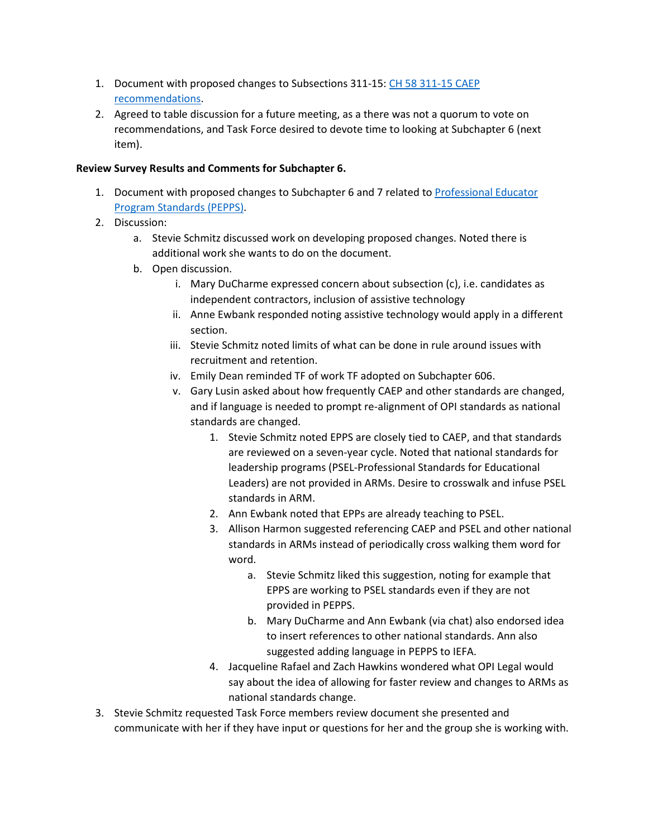- 1. Document with proposed changes to Subsections 311-15: [CH 58 311-15 CAEP](https://docs.google.com/document/d/18dDyu_APvXfLNssWfU2raPeuEdkS8qiXFkwysd5Gbgg/edit)  [recommendations.](https://docs.google.com/document/d/18dDyu_APvXfLNssWfU2raPeuEdkS8qiXFkwysd5Gbgg/edit)
- 2. Agreed to table discussion for a future meeting, as a there was not a quorum to vote on recommendations, and Task Force desired to devote time to looking at Subchapter 6 (next item).

## **Review Survey Results and Comments for Subchapter 6.**

- 1. Document with proposed changes to Subchapter 6 and 7 related to [Professional Educator](https://docs.google.com/document/d/13Xh8DBq_LI1_JEnZXwOaZbpU4fhGDkuQ815tNpKMMuE/edit)  [Program Standards \(PEPPS\).](https://docs.google.com/document/d/13Xh8DBq_LI1_JEnZXwOaZbpU4fhGDkuQ815tNpKMMuE/edit)
- 2. Discussion:
	- a. Stevie Schmitz discussed work on developing proposed changes. Noted there is additional work she wants to do on the document.
	- b. Open discussion.
		- i. Mary DuCharme expressed concern about subsection (c), i.e. candidates as independent contractors, inclusion of assistive technology
		- ii. Anne Ewbank responded noting assistive technology would apply in a different section.
		- iii. Stevie Schmitz noted limits of what can be done in rule around issues with recruitment and retention.
		- iv. Emily Dean reminded TF of work TF adopted on Subchapter 606.
		- v. Gary Lusin asked about how frequently CAEP and other standards are changed, and if language is needed to prompt re-alignment of OPI standards as national standards are changed.
			- 1. Stevie Schmitz noted EPPS are closely tied to CAEP, and that standards are reviewed on a seven-year cycle. Noted that national standards for leadership programs (PSEL-Professional Standards for Educational Leaders) are not provided in ARMs. Desire to crosswalk and infuse PSEL standards in ARM.
			- 2. Ann Ewbank noted that EPPs are already teaching to PSEL.
			- 3. Allison Harmon suggested referencing CAEP and PSEL and other national standards in ARMs instead of periodically cross walking them word for word.
				- a. Stevie Schmitz liked this suggestion, noting for example that EPPS are working to PSEL standards even if they are not provided in PEPPS.
				- b. Mary DuCharme and Ann Ewbank (via chat) also endorsed idea to insert references to other national standards. Ann also suggested adding language in PEPPS to IEFA.
			- 4. Jacqueline Rafael and Zach Hawkins wondered what OPI Legal would say about the idea of allowing for faster review and changes to ARMs as national standards change.
- 3. Stevie Schmitz requested Task Force members review document she presented and communicate with her if they have input or questions for her and the group she is working with.